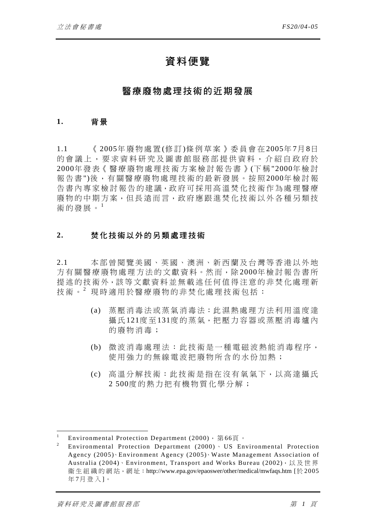# 資料便覽

# 醫療廢物處理技術的近期發展

### **1.** 背 景

1.1 《 2005年廢物處置 (修 訂 )條例草案》委員會在 2005年 7月 8日 的會議上,要求資料研究及圖書館服務部提供資料,介紹自政府於 2000年發表《醫療廢物處理技術方案檢討報告書》(下稱"2000年檢討 報告書")後,有關醫療廢物處理技術的最新發展。按照2000年檢討報 告書內專家檢討報告的建議,政府可採用高溫焚化技術作為處理醫療 廢物的中期方案,但長遠而言,政府應跟進焚化技術以外各種另類技 術的發展。<sup>1</sup>

#### **2.** 焚化技術以外的另類處理技術

2.1 本部曾閱覽美國、英國、澳洲、新西蘭及台灣等香港以外地 方有關醫療廢物處理方法的文獻資料。然而,除 2000年檢討報告書所 提述的技術外,該等文獻資料並無載述任何值得注意的非焚化處理新 技術。2 現時適用於醫療廢物的非焚化處理技術包括:

- (a) 蒸壓消毒法或蒸氣消毒法:此濕熱處理方法利用溫度達 攝氏121度至131度的蒸氣,把壓力容器或蒸壓消毒爐內 的廢物消毒;
- (b) 微波消毒處理法:此技術是一 種電磁波熱能消毒程序, 使用強力的無線雷波把廢物所含的水份加熱;
- (c) 高溫分解技術:此技術是指在 沒有氧氣下,以高達攝氏 2 500度的熱力把有機物質化學分解;

 $\overline{a}$ 1 Environmental Protection Department (2000), 第 66頁 。

<sup>2</sup> Environmental Protection Department (2000)、 US Environmental Protection Agency (2005)、Environment Agency (2005)、Waste Management Association of Australia (2004)、Environment, Transport and Works Bureau (2002), 以及世界 生 組 織 的 網 站,網 址:http://www.epa.gov/epaoswer/other/medical/mwfaqs.htm [於 2005 年7月登入]。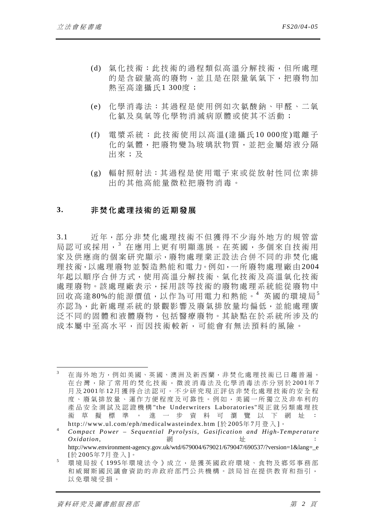- (d) 氣化技術:此技術的過程類似高溫分解技術,但所處理 的是含碳量高的廢物,並且是在限量氧氣下,把廢物加 熱至高達攝氏1 300度 ;
- (e) 化學消毒法:其過程是使用例如次氯酸鈉、甲醛、二氧 化氯及臭氧等化學物消滅病原體或使其不活動;
- (f) 電漿系統:此技術使用以高溫 (達攝氏 10 000度 )電離子 化的氣體,把廢物變為玻璃狀物質,並把金屬熔液分隔 出來;及
- (g) 輻射照射法:其過程是使用電子束或從放射性同位素排 出的其他高能量微粒把廢物消毒。

#### **3.** 非焚化處理技術的近期發展

3.1 近年,部分非焚化處理技術不但獲得不少海外地方的規管當 局認可或採用,<sup>3</sup> 在應用上更有明顯進展。在英國,多個來自技術用 家及供應商的個案研究顯示,廢物處理業正設法合併不同的非焚化處 理技術,以 處理廢物並製造熱能和電力。例如,一所廢物處理廠由 2004 年起以順序合併方式,使用高溫分解技 術、氣化技術及高溫氧化技術 處理廢物。該處理廠表示,採 用該等技術的廢物處理系統能從廢物中 回收高達80%的能源價值,以作為可用電力和熱能。<sup>4</sup> 英國的環境局 <sup>5</sup> 亦認為,此新處理系統的景觀影響及廢氣排放量均偏低,並能處理廣 泛不同的固體和液體廢物,包括醫療廢物。其缺點在於系統所涉及的 成本屬中至高水平,而因技術較新,可能會有無法預料的風險。

<sup>4</sup> *Compact Power – Sequential Pyrolysis, Gasification and High-Temperature*   $Oxidation$ , 細 http://www.environment-agency.gov.uk/wtd/679004/679021/679047/690537/?version=1&lang=\_e [於 2005年 7月登入 ]。

<sup>5</sup> 環境局按《 1995年環境法令》成立,是獲英國政府環境、食物及鄉郊事務部 和威爾斯國民議會資助的非政府部門公共機構。該局旨在提供教育和指引, 以免環境受損。

 $\overline{a}$ 

<sup>3</sup> 在海外地方,例如美國、英國、澳洲及新西蘭,非焚化處理技術已日趨普遍。 在台灣,除了常用的焚化技術,微波消毒法及化學消毒法亦分別於 2001年7 月 及 2001年 12月獲得合法認可。不少研究現正評估非焚化處理技術的安全程 度、廢氣排放量、運作方便程度及可靠性。例如,美國一所獨立及非牟利的 產品安全測試及認證機構 "the Underwriters Laboratories"現正就另類處理技 術草擬標準。進一步資料可瀏覽以下網址: http://www.ul.com/eph/medicalwasteindex.htm [於2005年7月登入]。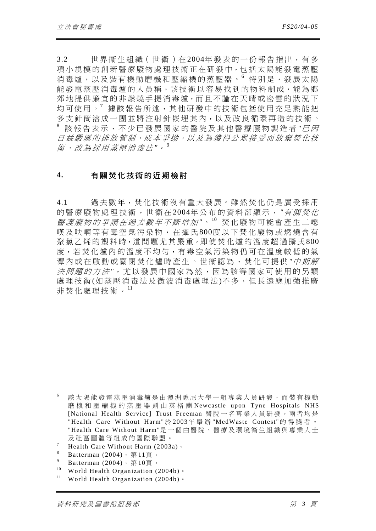3.2 世界衛生組織(世衛)在2004年發表的一份報告指出,有多 項小規模的創新醫療廢物處理技術正在研發中,包括太陽能發電蒸壓 消毒爐,以及裝有機動磨機和壓縮機的蒸壓器。6 特別是,發展太陽 能發電蒸壓消毒爐的人員稱,該技術以容易找到的物料制成,能為鄉 郊地提供廉宜的非燃燒手提消毒爐,而且不論在天晴或密雲的狀況下 均可使用。<sup>7</sup> 據該報告所述,其他研發中的技術包括使用充足熱能把 多支針筒溶成一團並將注射針嵌埋其內,以及改良循環再造的技術。 <sup>8</sup> 該報告表示,不少已發展國家的 醫院及其他醫療廢物製造者 *"*已 因 日益嚴厲的排放管制、成本爭拗,以及為獲得公眾接受而放棄焚化技 術,改為採用蒸壓消毒法 *"*。<sup>9</sup>

#### **4.** 有關焚化技術的近期檢討

4.1 過去數年,焚化技術沒有重大發展。雖然焚化仍是廣受採用 的醫療廢物處理技術,世衛在2004年公布的資料卻顯示, "有關焚化 醫護廢物的爭議在過去數年不斷增加 *"*。 <sup>10</sup> 焚化廢物可能會產生二噁 及呋喃等有毒空氣污染物,在攝氏 800度以下焚化廢物或燃燒含有 聚氯乙烯的塑料時,這問題尤其嚴重。即使焚化爐的溫度超過攝氏800 度,若焚化爐內的溫度不均勻,有毒空氣污染物仍可在溫度較低的氣 潭內或在啟動或關閉焚化爐時產生。世衛認為,焚化可提供*"中期解* 決問題的方法 *"*,尤以發展中國家為然,因 為該等國家可使用的另類 處理技術 (如蒸壓消毒法及微波消毒處理法)不多,但長遠應加強推廣 非焚化處理技術。<sup>11</sup>

 $\overline{a}$ 

<sup>6</sup> 該太陽能發電蒸壓消毒爐是由澳洲悉尼大學一組專業人員研發,而裝有機動 磨機和壓縮機的蒸壓器則由英格蘭 Newcastle upon Tyne Hospitals NHS [National Health Service] Trust Freeman 醫院一名專業人員研發。兩者均是 "Health Care Without Harm"於 2003年舉辦 "MedWaste Contest" 的得獎者。 "Health Care Without Harm"是一個由醫院、醫療及環境衛生組織與專業人士 及社區團體等組成的國際聯盟。

<sup>7</sup> Health Care Without Harm (2003a)。

<sup>8</sup> Batterman (2004), 第11頁。

<sup>9</sup> <sup>9</sup> Batterman (2004), 第10頁。

World Health Organization (2004b)。

<sup>&</sup>lt;sup>11</sup> World Health Organization (2004b)。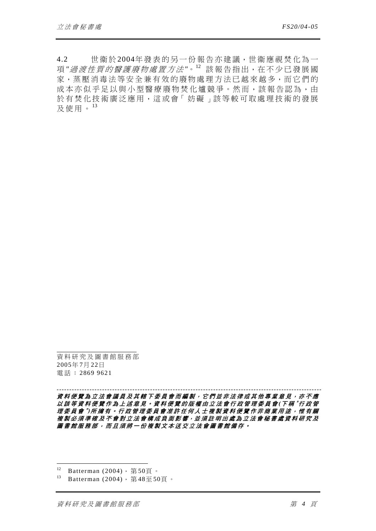4.2 世衞於2004年發表的另一份報告亦建議,世衞應視焚化為一 項 *"*過渡性質的醫護廢物處置方法 *"*。<sup>12</sup> 該報告指出,在不少已發展國 家,蒸壓消毒法等安全兼有效的廢物處理方法已越來越多,而它們的 成本亦似乎足以與小型醫療廢物焚化爐競爭。然而,該報告認為,由 於有焚化技術廣泛應用,這或會「妨礙」該等較可取處理技術的發展 及使用。<sup>13</sup>

資料研究及圖書館服務部 2005年 7月 22日 電話: 2869 9621

*---------------------------------------------------------------------------------------------------------*  資料便覽為立法會議員及其轄下委員會而編製,它們並非法律或其他專業意見,亦不應 以該等資料便覽作為上述意見。資料便覽的版權由立法會行政管理委員會 *(*下 稱 "行政管 理委員會 <sup>"</sup>) 所擁有。行政管理委員會准許任何人士複製資料便覽作非商業用途, 惟有關 複製必須準確及不會對立法會構成負面影響,並須註明出處為立法會秘書處資料研究及 圖書館服務部,而且須將一份複製文本送交立法會圖書館備存。

 $\overline{a}$ 

 $12$  Batterman (2004), 第50頁。

 $13$  Batterman (2004), 第48至50頁。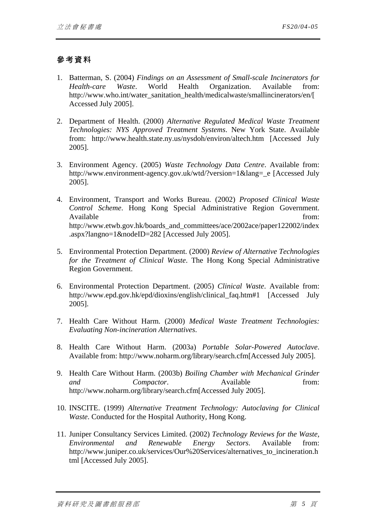## 參考資料

- 1. Batterman, S. (2004) *Findings on an Assessment of Small-scale Incinerators for Health-care Waste*. World Health Organization. Available from: http://www.who.int/water\_sanitation\_health/medicalwaste/smallincinerators/en/[ Accessed July 2005].
- 2. Department of Health. (2000) *Alternative Regulated Medical Waste Treatment Technologies: NYS Approved Treatment Systems*. New York State. Available from: http://www.health.state.ny.us/nysdoh/environ/altech.htm [Accessed July 2005].
- 3. Environment Agency. (2005) *Waste Technology Data Centre*. Available from: http://www.environment-agency.gov.uk/wtd/?version=1&lang=\_e [Accessed July 2005].
- 4. Environment, Transport and Works Bureau. (2002) *Proposed Clinical Waste Control Scheme*. Hong Kong Special Administrative Region Government. Available from:  $\blacksquare$ http://www.etwb.gov.hk/boards\_and\_committees/ace/2002ace/paper122002/index .aspx?langno=1&nodeID=282 [Accessed July 2005].
- 5. Environmental Protection Department. (2000) *Review of Alternative Technologies for the Treatment of Clinical Waste*. The Hong Kong Special Administrative Region Government.
- 6. Environmental Protection Department. (2005) *Clinical Waste*. Available from: http://www.epd.gov.hk/epd/dioxins/english/clinical\_faq.htm#1 [Accessed July 2005].
- 7. Health Care Without Harm. (2000) *Medical Waste Treatment Technologies: Evaluating Non-incineration Alternatives*.
- 8. Health Care Without Harm. (2003a) *Portable Solar-Powered Autoclave*. Available from: http://www.noharm.org/library/search.cfm[Accessed July 2005].
- 9. Health Care Without Harm. (2003b) *Boiling Chamber with Mechanical Grinder and Compactor*. Available from: http://www.noharm.org/library/search.cfm[Accessed July 2005].
- 10. INSCITE. (1999) *Alternative Treatment Technology: Autoclaving for Clinical Waste*. Conducted for the Hospital Authority, Hong Kong.
- 11. Juniper Consultancy Services Limited. (2002) *Technology Reviews for the Waste, Environmental and Renewable Energy Sectors*. Available from: http://www.juniper.co.uk/services/Our%20Services/alternatives to incineration.h tml [Accessed July 2005].